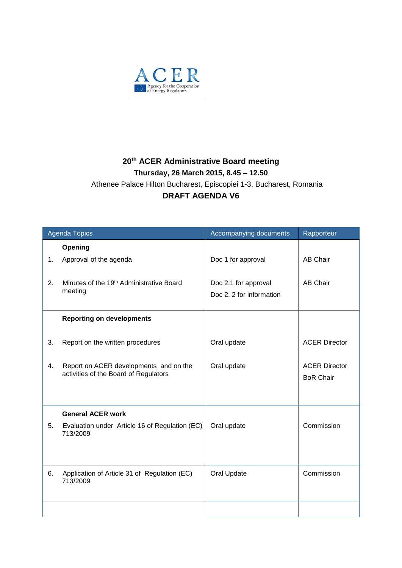

## **20 th ACER Administrative Board meeting Thursday, 26 March 2015, 8.45 – 12.50** Athenee Palace Hilton Bucharest, Episcopiei 1-3, Bucharest, Romania **DRAFT AGENDA V6**

| <b>Agenda Topics</b> |                                                                                 | Accompanying documents                           | Rapporteur                               |
|----------------------|---------------------------------------------------------------------------------|--------------------------------------------------|------------------------------------------|
|                      | Opening                                                                         |                                                  |                                          |
| 1.                   | Approval of the agenda                                                          | Doc 1 for approval                               | <b>AB Chair</b>                          |
| 2.                   | Minutes of the 19 <sup>th</sup> Administrative Board<br>meeting                 | Doc 2.1 for approval<br>Doc 2. 2 for information | AB Chair                                 |
|                      | <b>Reporting on developments</b>                                                |                                                  |                                          |
| 3.                   | Report on the written procedures                                                | Oral update                                      | <b>ACER Director</b>                     |
| 4.                   | Report on ACER developments and on the<br>activities of the Board of Regulators | Oral update                                      | <b>ACER Director</b><br><b>BoR Chair</b> |
|                      |                                                                                 |                                                  |                                          |
|                      | <b>General ACER work</b>                                                        |                                                  |                                          |
| 5.                   | Evaluation under Article 16 of Regulation (EC)<br>713/2009                      | Oral update                                      | Commission                               |
|                      |                                                                                 |                                                  |                                          |
| 6.                   | Application of Article 31 of Regulation (EC)<br>713/2009                        | Oral Update                                      | Commission                               |
|                      |                                                                                 |                                                  |                                          |